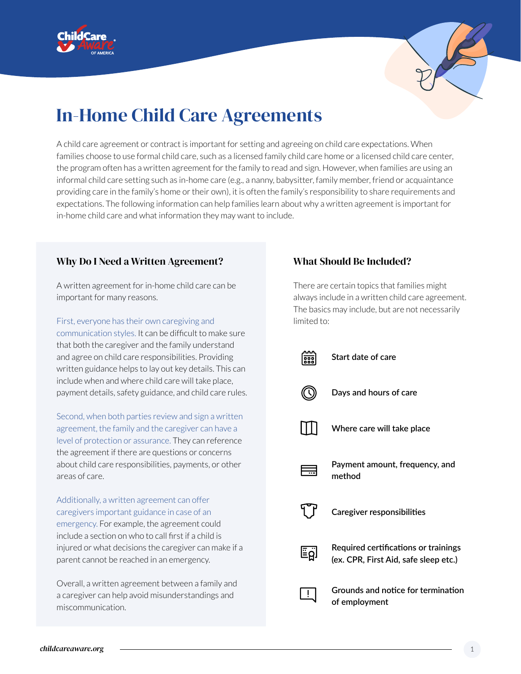



# In-Home Child Care Agreements

A child care agreement or contract is important for setting and agreeing on child care expectations. When families choose to use formal child care, such as a licensed family child care home or a licensed child care center, the program often has a written agreement for the family to read and sign. However, when families are using an informal child care setting such as in-home care (e.g., a nanny, babysitter, family member, friend or acquaintance providing care in the family's home or their own), it is often the family's responsibility to share requirements and expectations. The following information can help families learn about why a written agreement is important for in-home child care and what information they may want to include.

### Why Do I Need a Written Agreement?

A written agreement for in-home child care can be important for many reasons.

First, everyone has their own caregiving and communication styles. It can be difficult to make sure that both the caregiver and the family understand and agree on child care responsibilities. Providing written guidance helps to lay out key details. This can include when and where child care will take place, payment details, safety guidance, and child care rules.

Second, when both parties review and sign a written agreement, the family and the caregiver can have a level of protection or assurance. They can reference the agreement if there are questions or concerns about child care responsibilities, payments, or other areas of care.

Additionally, a written agreement can offer caregivers important guidance in case of an emergency. For example, the agreement could include a section on who to call first if a child is injured or what decisions the caregiver can make if a parent cannot be reached in an emergency.

Overall, a written agreement between a family and a caregiver can help avoid misunderstandings and miscommunication.

## What Should Be Included?

There are certain topics that families might always include in a written child care agreement. The basics may include, but are not necessarily limited to:

|     | Start date of care                                                            |
|-----|-------------------------------------------------------------------------------|
|     | Days and hours of care                                                        |
|     | Where care will take place                                                    |
| ₩.  | Payment amount, frequency, and<br>method                                      |
|     | Caregiver responsibilities                                                    |
| ام≣ | Required certifications or trainings<br>(ex. CPR, First Aid, safe sleep etc.) |
|     | Grounds and notice for termination<br>of employment                           |